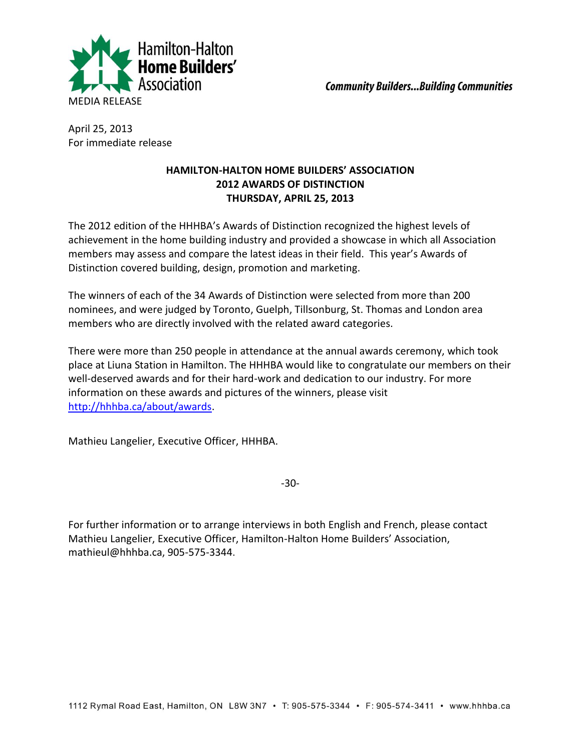

April 25, 2013 For immediate release

## **HAMILTON-HALTON HOME BUILDERS' ASSOCIATION 2012 AWARDS OF DISTINCTION THURSDAY, APRIL 25, 2013**

The 2012 edition of the HHHBA's Awards of Distinction recognized the highest levels of achievement in the home building industry and provided a showcase in which all Association members may assess and compare the latest ideas in their field. This year's Awards of Distinction covered building, design, promotion and marketing.

The winners of each of the 34 Awards of Distinction were selected from more than 200 nominees, and were judged by Toronto, Guelph, Tillsonburg, St. Thomas and London area members who are directly involved with the related award categories.

There were more than 250 people in attendance at the annual awards ceremony, which took place at Liuna Station in Hamilton. The HHHBA would like to congratulate our members on their well-deserved awards and for their hard-work and dedication to our industry. For more information on these awards and pictures of the winners, please visit [http://hhhba.ca/about/awards.](http://hhhba.ca/about/awards)

Mathieu Langelier, Executive Officer, HHHBA.

-30-

For further information or to arrange interviews in both English and French, please contact Mathieu Langelier, Executive Officer, Hamilton-Halton Home Builders' Association, mathieul@hhhba.ca, 905-575-3344.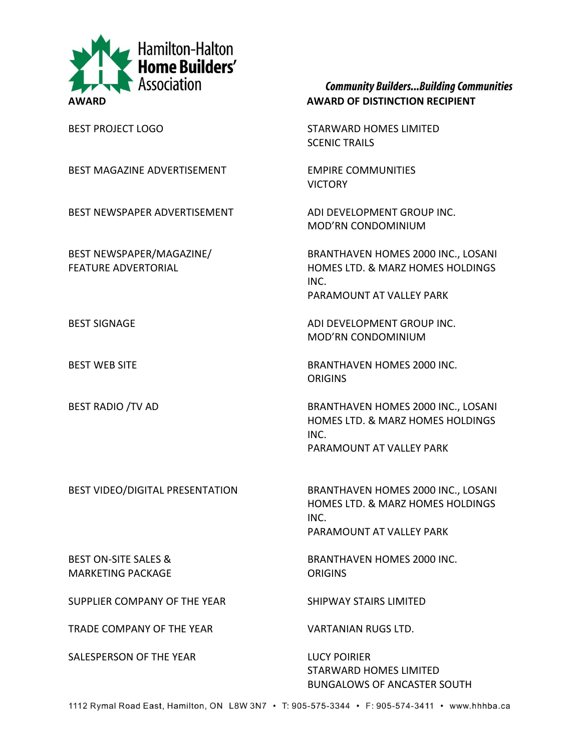

BEST MAGAZINE ADVERTISEMENT EMPIRE COMMUNITIES

BEST NEWSPAPER ADVERTISEMENT ADI DEVELOPMENT GROUP INC.

**Community Builders... Building Communities** 

BEST PROJECT LOGO STARWARD HOMES LIMITED SCENIC TRAILS

VICTORY

MOD'RN CONDOMINIUM

BEST NEWSPAPER/MAGAZINE/ BRANTHAVEN HOMES 2000 INC., LOSANI FEATURE ADVERTORIAL **HOMES LTD. & MARZ HOMES HOLDINGS** INC. PARAMOUNT AT VALLEY PARK

BEST SIGNAGE ADI DEVELOPMENT GROUP INC. MOD'RN CONDOMINIUM

BEST WEB SITE **BRANTHAVEN HOMES 2000 INC. ORIGINS** 

BEST RADIO /TV AD BRANTHAVEN HOMES 2000 INC., LOSANI HOMES LTD. & MARZ HOMES HOLDINGS INC. PARAMOUNT AT VALLEY PARK

BEST VIDEO/DIGITAL PRESENTATION BRANTHAVEN HOMES 2000 INC., LOSANI

MARKETING PACKAGE **ORIGINS** 

SUPPLIER COMPANY OF THE YEAR SHIPWAY STAIRS LIMITED

TRADE COMPANY OF THE YEAR VARTANIAN RUGS LTD.

SALESPERSON OF THE YEAR LUCY POIRIER

INC. PARAMOUNT AT VALLEY PARK

HOMES LTD. & MARZ HOMES HOLDINGS

BEST ON-SITE SALES & BRANTHAVEN HOMES 2000 INC.

STARWARD HOMES LIMITED BUNGALOWS OF ANCASTER SOUTH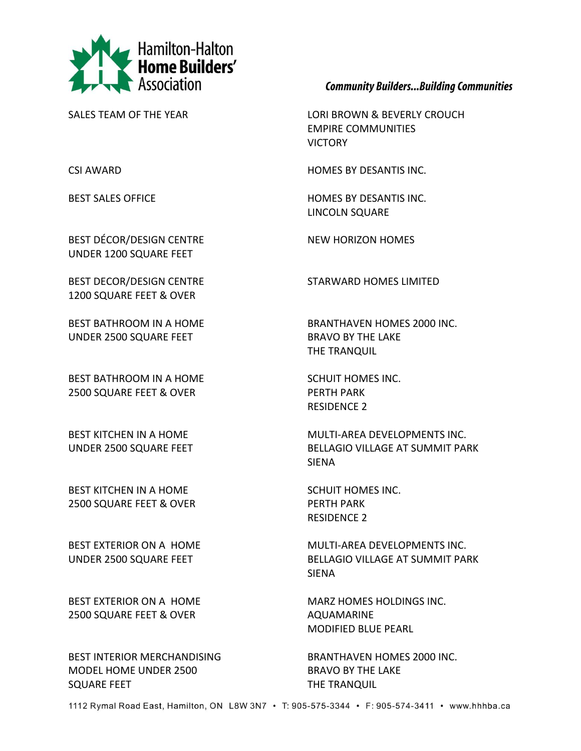

**Community Builders... Building Communities** 

SALES TEAM OF THE YEAR LORI BROWN & BEVERLY CROUCH EMPIRE COMMUNITIES VICTORY

CSI AWARD HOMES BY DESANTIS INC.

BEST SALES OFFICE **HOMES BY DESANTIS INC.** LINCOLN SQUARE

BEST BATHROOM IN A HOME BRANTHAVEN HOMES 2000 INC. THE TRANQUIL

RESIDENCE 2

BEST KITCHEN IN A HOME MULTI-AREA DEVELOPMENTS INC. UNDER 2500 SQUARE FEET BELLAGIO VILLAGE AT SUMMIT PARK SIENA

RESIDENCE 2

BEST EXTERIOR ON A HOME MULTI-AREA DEVELOPMENTS INC. UNDER 2500 SQUARE FEET BELLAGIO VILLAGE AT SUMMIT PARK SIENA

BEST EXTERIOR ON A HOME MARZ HOMES HOLDINGS INC. MODIFIED BLUE PEARL

BEST DÉCOR/DESIGN CENTRE NEW HORIZON HOMES UNDER 1200 SQUARE FEET

BEST DECOR/DESIGN CENTRE STARWARD HOMES LIMITED 1200 SQUARE FEET & OVER

UNDER 2500 SQUARE FEET BRAVO BY THE LAKE

BEST BATHROOM IN A HOME SCHUIT HOMES INC. 2500 SQUARE FEET & OVER PERTH PARK

BEST KITCHEN IN A HOME SCHUIT HOMES INC. 2500 SQUARE FEET & OVER PERTH PARK

2500 SQUARE FEET & OVER AQUAMARINE

BEST INTERIOR MERCHANDISING BRANTHAVEN HOMES 2000 INC. MODEL HOME UNDER 2500 BRAVO BY THE LAKE SQUARE FEET THE TRANQUIL